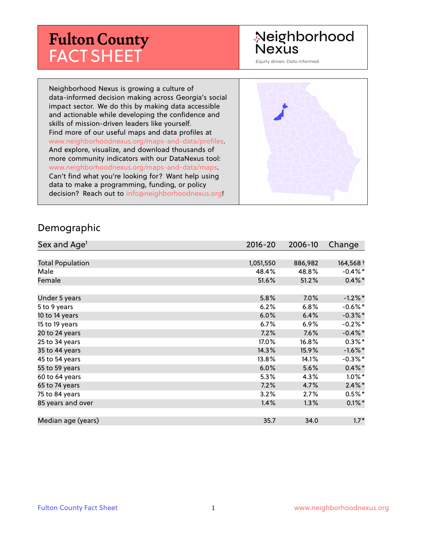# **Fulton County** FACT SHEET

## Neighborhood **Nexus**

Equity driven. Data informed.

Neighborhood Nexus is growing a culture of data-informed decision making across Georgia's social impact sector. We do this by making data accessible and actionable while developing the confidence and skills of mission-driven leaders like yourself. Find more of our useful maps and data profiles at www.neighborhoodnexus.org/maps-and-data/profiles. And explore, visualize, and download thousands of more community indicators with our DataNexus tool: www.neighborhoodnexus.org/maps-and-data/maps. Can't find what you're looking for? Want help using data to make a programming, funding, or policy decision? Reach out to [info@neighborhoodnexus.org!](mailto:info@neighborhoodnexus.org)



#### Demographic

| Sex and Age <sup>1</sup> | $2016 - 20$ | 2006-10 | Change     |
|--------------------------|-------------|---------|------------|
|                          |             |         |            |
| <b>Total Population</b>  | 1,051,550   | 886,982 | 164,568 +  |
| Male                     | 48.4%       | 48.8%   | $-0.4\%$ * |
| Female                   | 51.6%       | 51.2%   | $0.4\% *$  |
|                          |             |         |            |
| Under 5 years            | 5.8%        | $7.0\%$ | $-1.2\%$ * |
| 5 to 9 years             | 6.2%        | 6.8%    | $-0.6%$ *  |
| 10 to 14 years           | 6.0%        | 6.4%    | $-0.3\%$ * |
| 15 to 19 years           | 6.7%        | $6.9\%$ | $-0.2%$ *  |
| 20 to 24 years           | 7.2%        | 7.6%    | $-0.4\%$ * |
| 25 to 34 years           | 17.0%       | 16.8%   | $0.3\%$ *  |
| 35 to 44 years           | 14.3%       | 15.9%   | $-1.6\%$ * |
| 45 to 54 years           | 13.8%       | 14.1%   | $-0.3\%$ * |
| 55 to 59 years           | 6.0%        | 5.6%    | $0.4\%$ *  |
| 60 to 64 years           | 5.3%        | 4.3%    | $1.0\%$ *  |
| 65 to 74 years           | 7.2%        | 4.7%    | $2.4\%$ *  |
| 75 to 84 years           | 3.2%        | 2.7%    | $0.5\%*$   |
| 85 years and over        | 1.4%        | 1.3%    | $0.1\%$ *  |
|                          |             |         |            |
| Median age (years)       | 35.7        | 34.0    | $1.7*$     |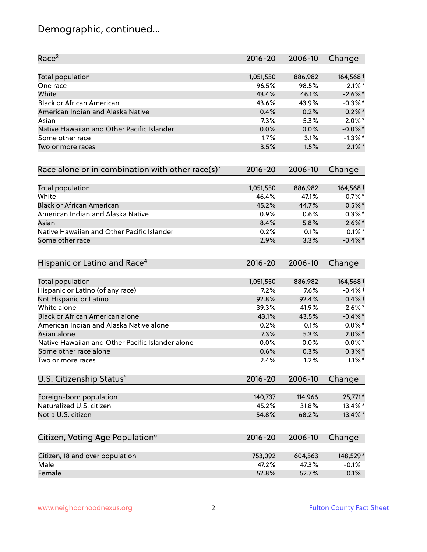## Demographic, continued...

| Race <sup>2</sup>                                   | $2016 - 20$ | 2006-10 | Change      |
|-----------------------------------------------------|-------------|---------|-------------|
| Total population                                    | 1,051,550   | 886,982 | 164,568 +   |
| One race                                            | 96.5%       | 98.5%   | $-2.1\%$ *  |
| White                                               | 43.4%       | 46.1%   | $-2.6\%$ *  |
| <b>Black or African American</b>                    | 43.6%       | 43.9%   | $-0.3\%$ *  |
| American Indian and Alaska Native                   | 0.4%        | 0.2%    | $0.2\%$ *   |
| Asian                                               | 7.3%        | 5.3%    | $2.0\%$ *   |
| Native Hawaiian and Other Pacific Islander          | 0.0%        | 0.0%    | $-0.0\%$ *  |
| Some other race                                     | 1.7%        | 3.1%    | $-1.3\%$ *  |
| Two or more races                                   | 3.5%        | 1.5%    | $2.1\%$ *   |
| Race alone or in combination with other race(s) $3$ | $2016 - 20$ | 2006-10 | Change      |
| Total population                                    | 1,051,550   | 886,982 | 164,568 +   |
| White                                               | 46.4%       | 47.1%   | $-0.7%$ *   |
| <b>Black or African American</b>                    | 45.2%       | 44.7%   | $0.5\%$ *   |
| American Indian and Alaska Native                   | 0.9%        | 0.6%    | $0.3\% *$   |
| Asian                                               | 8.4%        | 5.8%    | $2.6\%$ *   |
| Native Hawaiian and Other Pacific Islander          | 0.2%        | 0.1%    | $0.1\%$ *   |
| Some other race                                     | 2.9%        | 3.3%    | $-0.4\%$ *  |
| Hispanic or Latino and Race <sup>4</sup>            | $2016 - 20$ | 2006-10 | Change      |
| <b>Total population</b>                             | 1,051,550   | 886,982 | 164,568 +   |
| Hispanic or Latino (of any race)                    | 7.2%        | 7.6%    | $-0.4%$ +   |
| Not Hispanic or Latino                              | 92.8%       | 92.4%   | $0.4%$ †    |
| White alone                                         | 39.3%       | 41.9%   | $-2.6\%$ *  |
| Black or African American alone                     | 43.1%       | 43.5%   | $-0.4\%$ *  |
| American Indian and Alaska Native alone             | 0.2%        | 0.1%    | $0.0\%$ *   |
| Asian alone                                         | 7.3%        | 5.3%    | $2.0\%$ *   |
| Native Hawaiian and Other Pacific Islander alone    | 0.0%        | 0.0%    | $-0.0\%$ *  |
| Some other race alone                               | 0.6%        | 0.3%    | $0.3\%$ *   |
| Two or more races                                   | 2.4%        | 1.2%    | $1.1\%$ *   |
| U.S. Citizenship Status <sup>5</sup>                | $2016 - 20$ | 2006-10 | Change      |
| Foreign-born population                             | 140,737     | 114,966 | 25,771*     |
| Naturalized U.S. citizen                            | 45.2%       | 31.8%   | 13.4%*      |
| Not a U.S. citizen                                  | 54.8%       | 68.2%   | $-13.4\%$ * |
|                                                     |             |         |             |
| Citizen, Voting Age Population <sup>6</sup>         | $2016 - 20$ | 2006-10 | Change      |
| Citizen, 18 and over population                     | 753,092     | 604,563 | 148,529*    |
| Male                                                | 47.2%       | 47.3%   | $-0.1%$     |
| Female                                              | 52.8%       | 52.7%   | 0.1%        |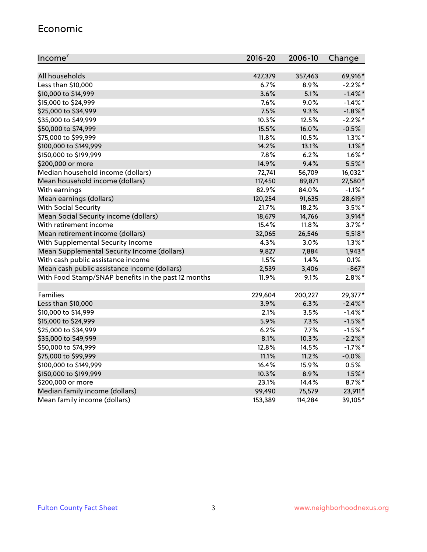#### Economic

| Income <sup>7</sup>                                 | $2016 - 20$ | 2006-10 | Change     |
|-----------------------------------------------------|-------------|---------|------------|
|                                                     |             |         |            |
| All households                                      | 427,379     | 357,463 | 69,916*    |
| Less than \$10,000                                  | $6.7\%$     | 8.9%    | $-2.2\%$ * |
| \$10,000 to \$14,999                                | 3.6%        | 5.1%    | $-1.4\%$ * |
| \$15,000 to \$24,999                                | 7.6%        | 9.0%    | $-1.4\%$ * |
| \$25,000 to \$34,999                                | 7.5%        | 9.3%    | $-1.8\%$ * |
| \$35,000 to \$49,999                                | 10.3%       | 12.5%   | $-2.2%$ *  |
| \$50,000 to \$74,999                                | 15.5%       | 16.0%   | $-0.5%$    |
| \$75,000 to \$99,999                                | 11.8%       | 10.5%   | $1.3\%$ *  |
| \$100,000 to \$149,999                              | 14.2%       | 13.1%   | $1.1\%$ *  |
| \$150,000 to \$199,999                              | 7.8%        | 6.2%    | $1.6\%$ *  |
| \$200,000 or more                                   | 14.9%       | 9.4%    | 5.5%*      |
| Median household income (dollars)                   | 72,741      | 56,709  | 16,032*    |
| Mean household income (dollars)                     | 117,450     | 89,871  | 27,580*    |
| With earnings                                       | 82.9%       | 84.0%   | $-1.1\%$ * |
| Mean earnings (dollars)                             | 120,254     | 91,635  | 28,619*    |
| <b>With Social Security</b>                         | 21.7%       | 18.2%   | $3.5%$ *   |
| Mean Social Security income (dollars)               | 18,679      | 14,766  | $3,914*$   |
| With retirement income                              | 15.4%       | 11.8%   | $3.7\%$ *  |
| Mean retirement income (dollars)                    | 32,065      | 26,546  | $5,518*$   |
| With Supplemental Security Income                   | 4.3%        | 3.0%    | $1.3\%$ *  |
| Mean Supplemental Security Income (dollars)         | 9,827       | 7,884   | $1,943*$   |
| With cash public assistance income                  | 1.5%        | 1.4%    | 0.1%       |
| Mean cash public assistance income (dollars)        | 2,539       | 3,406   | $-867*$    |
| With Food Stamp/SNAP benefits in the past 12 months | 11.9%       | 9.1%    | $2.8\%$ *  |
|                                                     |             |         |            |
| Families                                            | 229,604     | 200,227 | 29,377*    |
| Less than \$10,000                                  | 3.9%        | 6.3%    | $-2.4\%$ * |
| \$10,000 to \$14,999                                | 2.1%        | 3.5%    | $-1.4\%$ * |
| \$15,000 to \$24,999                                | 5.9%        | 7.3%    | $-1.5%$ *  |
| \$25,000 to \$34,999                                | 6.2%        | 7.7%    | $-1.5%$ *  |
| \$35,000 to \$49,999                                | 8.1%        | 10.3%   | $-2.2\%$ * |
| \$50,000 to \$74,999                                | 12.8%       | 14.5%   | $-1.7\%$ * |
| \$75,000 to \$99,999                                | 11.1%       | 11.2%   | $-0.0%$    |
| \$100,000 to \$149,999                              | 16.4%       | 15.9%   | 0.5%       |
| \$150,000 to \$199,999                              | 10.3%       | 8.9%    | $1.5\%$ *  |
| \$200,000 or more                                   | 23.1%       | 14.4%   | $8.7\%$ *  |
| Median family income (dollars)                      | 99,490      | 75,579  | 23,911*    |
| Mean family income (dollars)                        | 153,389     | 114,284 | 39,105*    |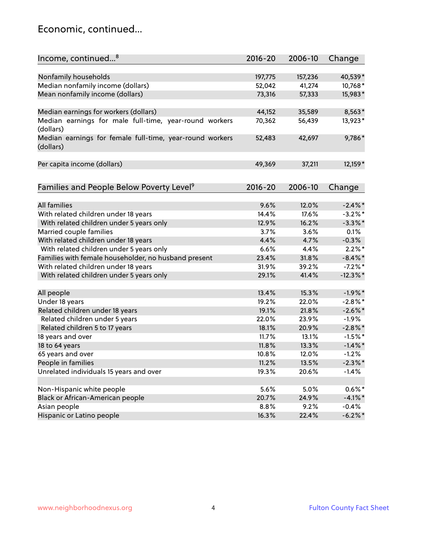### Economic, continued...

| Income, continued <sup>8</sup>                                        | $2016 - 20$ | 2006-10 | Change      |
|-----------------------------------------------------------------------|-------------|---------|-------------|
|                                                                       |             |         |             |
| Nonfamily households                                                  | 197,775     | 157,236 | 40,539*     |
| Median nonfamily income (dollars)                                     | 52,042      | 41,274  | 10,768*     |
| Mean nonfamily income (dollars)                                       | 73,316      | 57,333  | 15,983*     |
| Median earnings for workers (dollars)                                 | 44,152      | 35,589  | 8,563*      |
| Median earnings for male full-time, year-round workers<br>(dollars)   | 70,362      | 56,439  | 13,923*     |
| Median earnings for female full-time, year-round workers<br>(dollars) | 52,483      | 42,697  | 9,786*      |
| Per capita income (dollars)                                           | 49,369      | 37,211  | 12,159*     |
| Families and People Below Poverty Level <sup>9</sup>                  | $2016 - 20$ | 2006-10 | Change      |
|                                                                       |             |         |             |
| <b>All families</b>                                                   | 9.6%        | 12.0%   | $-2.4\%$ *  |
| With related children under 18 years                                  | 14.4%       | 17.6%   | $-3.2\%$ *  |
| With related children under 5 years only                              | 12.9%       | 16.2%   | $-3.3\%$ *  |
| Married couple families                                               | 3.7%        | 3.6%    | 0.1%        |
| With related children under 18 years                                  | 4.4%        | 4.7%    | $-0.3%$     |
| With related children under 5 years only                              | 6.6%        | 4.4%    | $2.2\%$ *   |
| Families with female householder, no husband present                  | 23.4%       | 31.8%   | $-8.4\%$ *  |
| With related children under 18 years                                  | 31.9%       | 39.2%   | $-7.2%$ *   |
| With related children under 5 years only                              | 29.1%       | 41.4%   | $-12.3\%$ * |
| All people                                                            | 13.4%       | 15.3%   | $-1.9%$ *   |
| Under 18 years                                                        | 19.2%       | 22.0%   | $-2.8\%$ *  |
| Related children under 18 years                                       | 19.1%       | 21.8%   | $-2.6\%$ *  |
| Related children under 5 years                                        | 22.0%       | 23.9%   | $-1.9%$     |
| Related children 5 to 17 years                                        | 18.1%       | 20.9%   | $-2.8\%$ *  |
| 18 years and over                                                     | 11.7%       | 13.1%   | $-1.5%$ *   |
| 18 to 64 years                                                        | 11.8%       | 13.3%   | $-1.4\%$ *  |
| 65 years and over                                                     | 10.8%       | 12.0%   | $-1.2%$     |
| People in families                                                    | 11.2%       | 13.5%   | $-2.3\%$ *  |
| Unrelated individuals 15 years and over                               | 19.3%       | 20.6%   | $-1.4%$     |
|                                                                       |             |         |             |
| Non-Hispanic white people                                             | 5.6%        | 5.0%    | $0.6\%*$    |
| Black or African-American people                                      | 20.7%       | 24.9%   | $-4.1\%$ *  |
| Asian people                                                          | 8.8%        | 9.2%    | $-0.4%$     |
| Hispanic or Latino people                                             | 16.3%       | 22.4%   | $-6.2\%$ *  |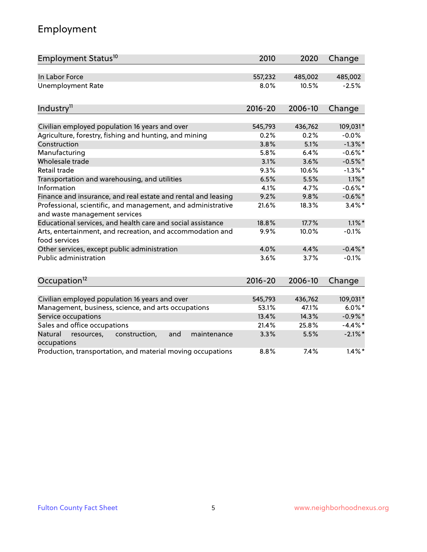## Employment

| Employment Status <sup>10</sup>                                                               | 2010           | 2020           | Change                   |
|-----------------------------------------------------------------------------------------------|----------------|----------------|--------------------------|
| In Labor Force                                                                                | 557,232        | 485,002        | 485,002                  |
| <b>Unemployment Rate</b>                                                                      | 8.0%           | 10.5%          | $-2.5%$                  |
| Industry <sup>11</sup>                                                                        | $2016 - 20$    | 2006-10        | Change                   |
| Civilian employed population 16 years and over                                                | 545,793        | 436,762        | 109,031*                 |
| Agriculture, forestry, fishing and hunting, and mining                                        | 0.2%           | 0.2%           | $-0.0%$                  |
| Construction                                                                                  | 3.8%           | 5.1%           | $-1.3\%$ *               |
| Manufacturing                                                                                 | 5.8%           | 6.4%           | $-0.6%$ *                |
| Wholesale trade                                                                               | 3.1%           | 3.6%           | $-0.5%$ *                |
| Retail trade                                                                                  | 9.3%           | 10.6%          | $-1.3\%$ *               |
| Transportation and warehousing, and utilities                                                 | 6.5%           | 5.5%           | $1.1\%$ *                |
| Information                                                                                   | 4.1%           | 4.7%           | $-0.6%$ *                |
| Finance and insurance, and real estate and rental and leasing                                 | 9.2%           | 9.8%           | $-0.6\%$ *               |
| Professional, scientific, and management, and administrative<br>and waste management services | 21.6%          | 18.3%          | $3.4\%$ *                |
| Educational services, and health care and social assistance                                   | 18.8%          | 17.7%          | $1.1\%$ *                |
| Arts, entertainment, and recreation, and accommodation and<br>food services                   | 9.9%           | 10.0%          | $-0.1%$                  |
| Other services, except public administration                                                  | 4.0%           | 4.4%           | $-0.4\%$ *               |
| <b>Public administration</b>                                                                  | 3.6%           | 3.7%           | $-0.1%$                  |
| Occupation <sup>12</sup>                                                                      | $2016 - 20$    | 2006-10        | Change                   |
|                                                                                               |                |                |                          |
| Civilian employed population 16 years and over                                                | 545,793        | 436,762        | 109,031*                 |
| Management, business, science, and arts occupations                                           | 53.1%<br>13.4% | 47.1%<br>14.3% | $6.0\%$ *                |
| Service occupations                                                                           | 21.4%          | 25.8%          | $-0.9\%$ *<br>$-4.4\%$ * |
| Sales and office occupations                                                                  |                |                |                          |
| Natural<br>resources,<br>construction,<br>and<br>maintenance<br>occupations                   | 3.3%           | 5.5%           | $-2.1\%$ *               |
| Production, transportation, and material moving occupations                                   | 8.8%           | 7.4%           | $1.4\%$ *                |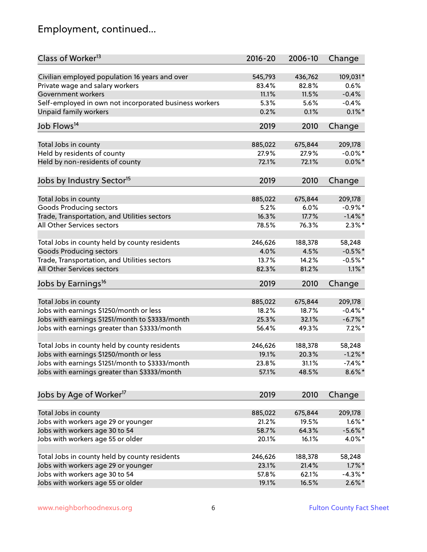## Employment, continued...

| Class of Worker <sup>13</sup>                                   | $2016 - 20$      | 2006-10          | Change                |
|-----------------------------------------------------------------|------------------|------------------|-----------------------|
| Civilian employed population 16 years and over                  | 545,793          | 436,762          | 109,031*              |
| Private wage and salary workers                                 | 83.4%            | 82.8%            | 0.6%                  |
| Government workers                                              | 11.1%            | 11.5%            | $-0.4%$               |
| Self-employed in own not incorporated business workers          | 5.3%             | 5.6%             | $-0.4%$               |
| <b>Unpaid family workers</b>                                    | 0.2%             | 0.1%             | $0.1\%$ *             |
| Job Flows <sup>14</sup>                                         | 2019             | 2010             | Change                |
|                                                                 |                  |                  |                       |
| Total Jobs in county                                            | 885,022          | 675,844          | 209,178               |
| Held by residents of county                                     | 27.9%            | 27.9%            | $-0.0\%$ *            |
| Held by non-residents of county                                 | 72.1%            | 72.1%            | $0.0\%$ *             |
|                                                                 | 2019             | 2010             |                       |
| Jobs by Industry Sector <sup>15</sup>                           |                  |                  | Change                |
| Total Jobs in county                                            | 885,022          | 675,844          | 209,178               |
| <b>Goods Producing sectors</b>                                  | 5.2%             | 6.0%             | $-0.9\%$ *            |
| Trade, Transportation, and Utilities sectors                    | 16.3%            | 17.7%            | $-1.4\%$ *            |
| All Other Services sectors                                      | 78.5%            | 76.3%            | $2.3\%$ *             |
|                                                                 |                  |                  |                       |
| Total Jobs in county held by county residents                   | 246,626          | 188,378          | 58,248                |
| <b>Goods Producing sectors</b>                                  | 4.0%             | 4.5%             | $-0.5%$ *             |
| Trade, Transportation, and Utilities sectors                    | 13.7%            | 14.2%            | $-0.5%$ *             |
| All Other Services sectors                                      | 82.3%            | 81.2%            | $1.1\%$ *             |
| Jobs by Earnings <sup>16</sup>                                  | 2019             | 2010             | Change                |
|                                                                 |                  |                  |                       |
| Total Jobs in county<br>Jobs with earnings \$1250/month or less | 885,022<br>18.2% | 675,844<br>18.7% | 209,178<br>$-0.4\%$ * |
|                                                                 | 25.3%            | 32.1%            | $-6.7\%$ *            |
| Jobs with earnings \$1251/month to \$3333/month                 |                  |                  |                       |
| Jobs with earnings greater than \$3333/month                    | 56.4%            | 49.3%            | $7.2\%$ *             |
| Total Jobs in county held by county residents                   | 246,626          | 188,378          | 58,248                |
| Jobs with earnings \$1250/month or less                         | 19.1%            | 20.3%            | $-1.2\%$ *            |
| Jobs with earnings \$1251/month to \$3333/month                 | 23.8%            | 31.1%            | $-7.4\%$ *            |
| Jobs with earnings greater than \$3333/month                    | 57.1%            | 48.5%            | $8.6\%$ *             |
| Jobs by Age of Worker <sup>17</sup>                             | 2019             | 2010             | Change                |
|                                                                 |                  |                  |                       |
| Total Jobs in county                                            | 885,022          | 675,844          | 209,178               |
| Jobs with workers age 29 or younger                             | 21.2%            | 19.5%            | $1.6\%$ *             |
| Jobs with workers age 30 to 54                                  | 58.7%            | 64.3%            | $-5.6\%$ *            |
| Jobs with workers age 55 or older                               | 20.1%            | 16.1%            | 4.0%*                 |
|                                                                 |                  |                  |                       |
| Total Jobs in county held by county residents                   | 246,626          | 188,378          | 58,248                |
| Jobs with workers age 29 or younger                             | 23.1%            | 21.4%            | $1.7\%$ *             |
| Jobs with workers age 30 to 54                                  | 57.8%            | 62.1%            | $-4.3\%$ *            |
| Jobs with workers age 55 or older                               | 19.1%            | 16.5%            | $2.6\%$ *             |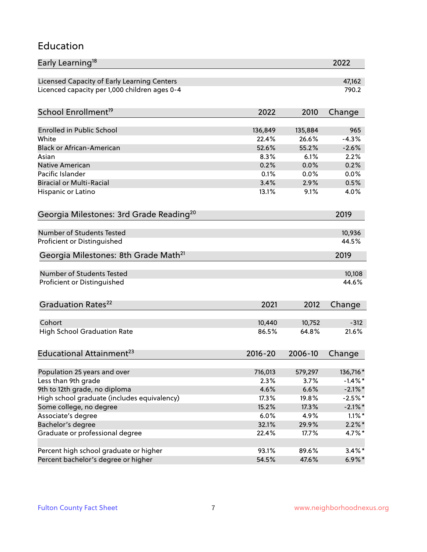#### Education

| Early Learning <sup>18</sup>                        |             |         | 2022            |
|-----------------------------------------------------|-------------|---------|-----------------|
| Licensed Capacity of Early Learning Centers         |             |         | 47,162          |
| Licenced capacity per 1,000 children ages 0-4       |             |         | 790.2           |
|                                                     |             |         |                 |
| School Enrollment <sup>19</sup>                     | 2022        | 2010    | Change          |
| <b>Enrolled in Public School</b>                    | 136,849     | 135,884 | 965             |
| White                                               | 22.4%       | 26.6%   | $-4.3%$         |
| <b>Black or African-American</b>                    | 52.6%       | 55.2%   | $-2.6%$         |
| Asian                                               | 8.3%        | 6.1%    | 2.2%            |
| <b>Native American</b>                              | 0.2%        | 0.0%    | 0.2%            |
| Pacific Islander                                    | 0.1%        | 0.0%    | 0.0%            |
| <b>Biracial or Multi-Racial</b>                     | 3.4%        | 2.9%    | 0.5%            |
| Hispanic or Latino                                  | 13.1%       | 9.1%    | 4.0%            |
|                                                     |             |         |                 |
| Georgia Milestones: 3rd Grade Reading <sup>20</sup> |             |         | 2019            |
| Number of Students Tested                           |             |         |                 |
| Proficient or Distinguished                         |             |         | 10,936<br>44.5% |
|                                                     |             |         |                 |
| Georgia Milestones: 8th Grade Math <sup>21</sup>    |             |         | 2019            |
| Number of Students Tested                           |             |         | 10,108          |
| Proficient or Distinguished                         |             |         | 44.6%           |
|                                                     |             |         |                 |
| Graduation Rates <sup>22</sup>                      | 2021        | 2012    | Change          |
|                                                     |             |         |                 |
| Cohort                                              | 10,440      | 10,752  | $-312$          |
| <b>High School Graduation Rate</b>                  | 86.5%       | 64.8%   | 21.6%           |
|                                                     |             |         |                 |
| Educational Attainment <sup>23</sup>                | $2016 - 20$ | 2006-10 | Change          |
|                                                     |             |         |                 |
| Population 25 years and over                        | 716,013     | 579,297 | 136,716 *       |
| Less than 9th grade                                 | 2.3%        | 3.7%    | $-1.4\%$ *      |
| 9th to 12th grade, no diploma                       | 4.6%        | 6.6%    | $-2.1\%$ *      |
| High school graduate (includes equivalency)         | 17.3%       | 19.8%   | $-2.5%$ *       |
| Some college, no degree                             | 15.2%       | 17.3%   | $-2.1\%$ *      |
| Associate's degree                                  | 6.0%        | 4.9%    | $1.1\%$ *       |
| Bachelor's degree                                   | 32.1%       | 29.9%   | $2.2\%$ *       |
| Graduate or professional degree                     | 22.4%       | 17.7%   | $4.7\%$ *       |
| Percent high school graduate or higher              | 93.1%       | 89.6%   | $3.4\%$ *       |
| Percent bachelor's degree or higher                 | 54.5%       | 47.6%   | $6.9\% *$       |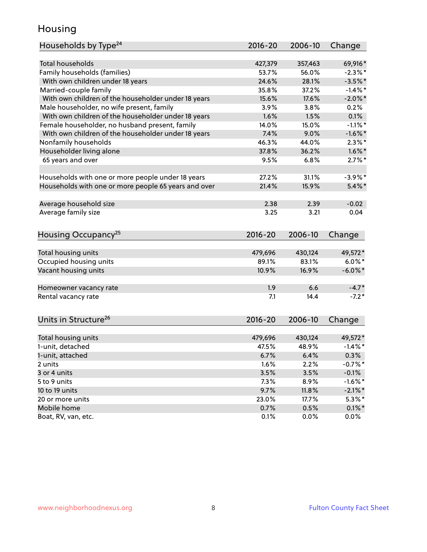### Housing

| Households by Type <sup>24</sup>                     | 2016-20     | 2006-10 | Change     |
|------------------------------------------------------|-------------|---------|------------|
|                                                      |             |         |            |
| <b>Total households</b>                              | 427,379     | 357,463 | 69,916*    |
| Family households (families)                         | 53.7%       | 56.0%   | $-2.3\%$ * |
| With own children under 18 years                     | 24.6%       | 28.1%   | $-3.5%$ *  |
| Married-couple family                                | 35.8%       | 37.2%   | $-1.4\%$ * |
| With own children of the householder under 18 years  | 15.6%       | 17.6%   | $-2.0\%$ * |
| Male householder, no wife present, family            | 3.9%        | 3.8%    | 0.2%       |
| With own children of the householder under 18 years  | 1.6%        | 1.5%    | 0.1%       |
| Female householder, no husband present, family       | 14.0%       | 15.0%   | $-1.1\%$ * |
| With own children of the householder under 18 years  | 7.4%        | 9.0%    | $-1.6\%$ * |
| Nonfamily households                                 | 46.3%       | 44.0%   | $2.3\%$ *  |
| Householder living alone                             | 37.8%       | 36.2%   | $1.6\%$ *  |
| 65 years and over                                    | 9.5%        | 6.8%    | $2.7\%$ *  |
|                                                      |             |         |            |
| Households with one or more people under 18 years    | 27.2%       | 31.1%   | $-3.9\%$ * |
| Households with one or more people 65 years and over | 21.4%       | 15.9%   | $5.4\%$ *  |
|                                                      |             |         |            |
| Average household size                               | 2.38        | 2.39    | $-0.02$    |
| Average family size                                  | 3.25        | 3.21    | 0.04       |
| Housing Occupancy <sup>25</sup>                      | 2016-20     | 2006-10 | Change     |
|                                                      |             |         |            |
| Total housing units                                  | 479,696     | 430,124 | 49,572*    |
| Occupied housing units                               | 89.1%       | 83.1%   | $6.0\%$ *  |
| Vacant housing units                                 | 10.9%       | 16.9%   | $-6.0\%$ * |
| Homeowner vacancy rate                               | 1.9         | 6.6     | $-4.7*$    |
| Rental vacancy rate                                  | 7.1         | 14.4    | $-7.2*$    |
|                                                      |             |         |            |
| Units in Structure <sup>26</sup>                     | $2016 - 20$ | 2006-10 | Change     |
| Total housing units                                  | 479,696     | 430,124 | 49,572*    |
| 1-unit, detached                                     | 47.5%       | 48.9%   | $-1.4\%$ * |
| 1-unit, attached                                     | 6.7%        | 6.4%    | 0.3%       |
| 2 units                                              | 1.6%        | 2.2%    | $-0.7%$ *  |
| 3 or 4 units                                         | 3.5%        | 3.5%    | $-0.1%$    |
| 5 to 9 units                                         | 7.3%        | 8.9%    | $-1.6%$ *  |
| 10 to 19 units                                       | 9.7%        | 11.8%   | $-2.1\%$ * |
| 20 or more units                                     | 23.0%       | 17.7%   | $5.3\%$ *  |
| Mobile home                                          | 0.7%        | 0.5%    | $0.1\%$ *  |
| Boat, RV, van, etc.                                  | 0.1%        | 0.0%    | $0.0\%$    |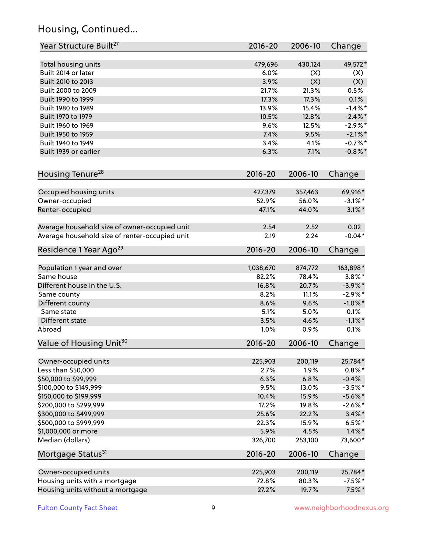## Housing, Continued...

| Year Structure Built <sup>27</sup>             | 2016-20     | 2006-10 | Change     |
|------------------------------------------------|-------------|---------|------------|
| Total housing units                            | 479,696     | 430,124 | 49,572*    |
| Built 2014 or later                            | 6.0%        | (X)     | (X)        |
| Built 2010 to 2013                             | 3.9%        | (X)     | (X)        |
| Built 2000 to 2009                             | 21.7%       | 21.3%   | 0.5%       |
| Built 1990 to 1999                             | 17.3%       | 17.3%   | 0.1%       |
| Built 1980 to 1989                             | 13.9%       | 15.4%   | $-1.4\%$ * |
| Built 1970 to 1979                             | 10.5%       | 12.8%   | $-2.4\%$ * |
| Built 1960 to 1969                             | 9.6%        | 12.5%   | $-2.9\%$ * |
| Built 1950 to 1959                             | 7.4%        | 9.5%    | $-2.1\%$ * |
| Built 1940 to 1949                             | 3.4%        | 4.1%    | $-0.7%$ *  |
| Built 1939 or earlier                          | 6.3%        | 7.1%    | $-0.8\%$ * |
| Housing Tenure <sup>28</sup>                   | $2016 - 20$ | 2006-10 | Change     |
| Occupied housing units                         | 427,379     | 357,463 | 69,916*    |
| Owner-occupied                                 | 52.9%       | 56.0%   | $-3.1\%$ * |
| Renter-occupied                                | 47.1%       | 44.0%   | $3.1\%$ *  |
| Average household size of owner-occupied unit  | 2.54        | 2.52    | 0.02       |
| Average household size of renter-occupied unit | 2.19        | 2.24    | $-0.04*$   |
| Residence 1 Year Ago <sup>29</sup>             | 2016-20     | 2006-10 | Change     |
| Population 1 year and over                     | 1,038,670   | 874,772 | 163,898*   |
| Same house                                     | 82.2%       | 78.4%   | $3.8\%$ *  |
| Different house in the U.S.                    | 16.8%       | 20.7%   | $-3.9\%$ * |
| Same county                                    | 8.2%        | 11.1%   | $-2.9%$ *  |
| Different county                               | 8.6%        | 9.6%    | $-1.0\%$ * |
| Same state                                     | 5.1%        | 5.0%    | 0.1%       |
| Different state                                | 3.5%        | 4.6%    | $-1.1\%$ * |
| Abroad                                         | 1.0%        | 0.9%    | 0.1%       |
| Value of Housing Unit <sup>30</sup>            | $2016 - 20$ | 2006-10 | Change     |
| Owner-occupied units                           | 225,903     | 200,119 | 25,784*    |
| Less than \$50,000                             | 2.7%        | 1.9%    | $0.8\% *$  |
| \$50,000 to \$99,999                           | 6.3%        | 6.8%    | $-0.4%$    |
| \$100,000 to \$149,999                         | 9.5%        | 13.0%   | $-3.5%$ *  |
| \$150,000 to \$199,999                         | 10.4%       | 15.9%   | $-5.6\%$ * |
| \$200,000 to \$299,999                         | 17.2%       | 19.8%   | $-2.6\%$ * |
| \$300,000 to \$499,999                         | 25.6%       | 22.2%   | $3.4\%$ *  |
| \$500,000 to \$999,999                         | 22.3%       | 15.9%   | $6.5%$ *   |
| \$1,000,000 or more                            | 5.9%        | 4.5%    | $1.4\%$ *  |
| Median (dollars)                               | 326,700     | 253,100 | 73,600*    |
| Mortgage Status <sup>31</sup>                  | $2016 - 20$ | 2006-10 | Change     |
| Owner-occupied units                           | 225,903     | 200,119 | 25,784*    |
| Housing units with a mortgage                  | 72.8%       | 80.3%   | $-7.5%$ *  |
| Housing units without a mortgage               | 27.2%       | 19.7%   | $7.5\%$ *  |
|                                                |             |         |            |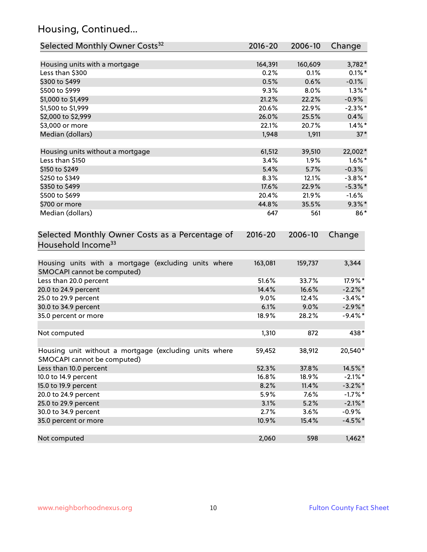## Housing, Continued...

| Selected Monthly Owner Costs <sup>32</sup>                                            | 2016-20     | 2006-10 | Change     |
|---------------------------------------------------------------------------------------|-------------|---------|------------|
| Housing units with a mortgage                                                         | 164,391     | 160,609 | 3,782*     |
| Less than \$300                                                                       | 0.2%        | 0.1%    | $0.1\%$ *  |
| \$300 to \$499                                                                        | 0.5%        | 0.6%    | $-0.1%$    |
| \$500 to \$999                                                                        | 9.3%        | 8.0%    | $1.3\%$ *  |
| \$1,000 to \$1,499                                                                    | 21.2%       | 22.2%   | $-0.9\%$   |
| \$1,500 to \$1,999                                                                    | 20.6%       | 22.9%   | $-2.3\%$ * |
| \$2,000 to \$2,999                                                                    | 26.0%       | 25.5%   | 0.4%       |
| \$3,000 or more                                                                       | 22.1%       | 20.7%   | $1.4\%$ *  |
| Median (dollars)                                                                      | 1,948       | 1,911   | $37*$      |
| Housing units without a mortgage                                                      | 61,512      | 39,510  | 22,002*    |
| Less than \$150                                                                       | 3.4%        | 1.9%    | $1.6\%$ *  |
| \$150 to \$249                                                                        | 5.4%        | 5.7%    | $-0.3%$    |
| \$250 to \$349                                                                        | 8.3%        | 12.1%   | $-3.8\%$ * |
| \$350 to \$499                                                                        | 17.6%       | 22.9%   | $-5.3\%$ * |
| \$500 to \$699                                                                        | 20.4%       | 21.9%   | $-1.6%$    |
| \$700 or more                                                                         | 44.8%       | 35.5%   | $9.3\%$ *  |
| Median (dollars)                                                                      | 647         | 561     | 86*        |
| Selected Monthly Owner Costs as a Percentage of<br>Household Income <sup>33</sup>     | $2016 - 20$ | 2006-10 | Change     |
| Housing units with a mortgage (excluding units where<br>SMOCAPI cannot be computed)   | 163,081     | 159,737 | 3,344      |
| Less than 20.0 percent                                                                | 51.6%       | 33.7%   | 17.9%*     |
| 20.0 to 24.9 percent                                                                  | 14.4%       | 16.6%   | $-2.2\%$ * |
| 25.0 to 29.9 percent                                                                  | 9.0%        | 12.4%   | $-3.4\%$ * |
| 30.0 to 34.9 percent                                                                  | 6.1%        | 9.0%    | $-2.9\%$ * |
| 35.0 percent or more                                                                  | 18.9%       | 28.2%   | $-9.4\%$ * |
| Not computed                                                                          | 1,310       | 872     | 438*       |
| Housing unit without a mortgage (excluding units where<br>SMOCAPI cannot be computed) | 59,452      | 38,912  | 20,540*    |
| Less than 10.0 percent                                                                | 52.3%       | 37.8%   | 14.5%*     |
| 10.0 to 14.9 percent                                                                  | 16.8%       | 18.9%   | $-2.1\%$ * |
| 15.0 to 19.9 percent                                                                  | 8.2%        | 11.4%   | $-3.2\%$ * |
| 20.0 to 24.9 percent                                                                  | 5.9%        | 7.6%    | $-1.7%$ *  |
| 25.0 to 29.9 percent                                                                  | 3.1%        | 5.2%    | $-2.1\%$ * |
| 30.0 to 34.9 percent                                                                  | 2.7%        | 3.6%    | $-0.9%$    |
| 35.0 percent or more                                                                  | 10.9%       | 15.4%   | $-4.5%$ *  |
| Not computed                                                                          | 2,060       | 598     | $1,462*$   |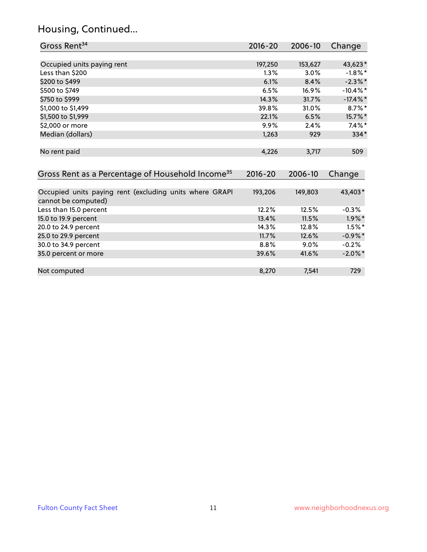## Housing, Continued...

| Gross Rent <sup>34</sup>                                                       | 2016-20     | 2006-10 | Change      |
|--------------------------------------------------------------------------------|-------------|---------|-------------|
|                                                                                |             |         |             |
| Occupied units paying rent                                                     | 197,250     | 153,627 | 43,623*     |
| Less than \$200                                                                | $1.3\%$     | 3.0%    | $-1.8\%$ *  |
| \$200 to \$499                                                                 | 6.1%        | 8.4%    | $-2.3\%$ *  |
| \$500 to \$749                                                                 | 6.5%        | 16.9%   | $-10.4\%$ * |
| \$750 to \$999                                                                 | 14.3%       | 31.7%   | $-17.4\%$ * |
| \$1,000 to \$1,499                                                             | 39.8%       | 31.0%   | $8.7\%$ *   |
| \$1,500 to \$1,999                                                             | 22.1%       | 6.5%    | 15.7%*      |
| \$2,000 or more                                                                | 9.9%        | 2.4%    | $7.4\%$ *   |
| Median (dollars)                                                               | 1,263       | 929     | $334*$      |
| No rent paid                                                                   | 4,226       | 3,717   | 509         |
| Gross Rent as a Percentage of Household Income <sup>35</sup>                   | $2016 - 20$ | 2006-10 | Change      |
| Occupied units paying rent (excluding units where GRAPI<br>cannot be computed) | 193,206     | 149,803 | 43,403*     |
| Less than 15.0 percent                                                         | 12.2%       | 12.5%   | $-0.3%$     |
| 15.0 to 19.9 percent                                                           | 13.4%       | 11.5%   | $1.9\%$ *   |
| 20.0 to 24.9 percent                                                           | 14.3%       | 12.8%   | $1.5\%$ *   |
| 25.0 to 29.9 percent                                                           | 11.7%       | 12.6%   | $-0.9\%$ *  |
| 30.0 to 34.9 percent                                                           | 8.8%        | 9.0%    | $-0.2%$     |
| 35.0 percent or more                                                           | 39.6%       | 41.6%   | $-2.0\%$ *  |
| Not computed                                                                   | 8,270       | 7,541   | 729         |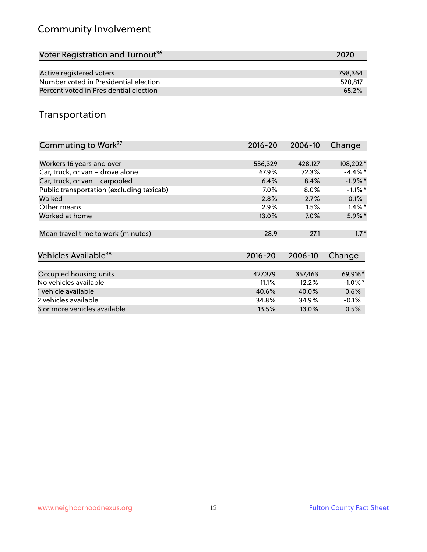## Community Involvement

| Voter Registration and Turnout <sup>36</sup> | 2020    |
|----------------------------------------------|---------|
|                                              |         |
| Active registered voters                     | 798.364 |
| Number voted in Presidential election        | 520.817 |
| Percent voted in Presidential election       | 65.2%   |

## Transportation

| Commuting to Work <sup>37</sup>           | 2016-20     | 2006-10 | Change     |
|-------------------------------------------|-------------|---------|------------|
|                                           |             |         |            |
| Workers 16 years and over                 | 536,329     | 428,127 | 108,202*   |
| Car, truck, or van - drove alone          | 67.9%       | 72.3%   | $-4.4\%$ * |
| Car, truck, or van - carpooled            | 6.4%        | 8.4%    | $-1.9\%$ * |
| Public transportation (excluding taxicab) | 7.0%        | 8.0%    | $-1.1\%$ * |
| Walked                                    | 2.8%        | 2.7%    | 0.1%       |
| Other means                               | 2.9%        | 1.5%    | $1.4\%$ *  |
| Worked at home                            | 13.0%       | 7.0%    | $5.9\%$ *  |
|                                           |             |         |            |
| Mean travel time to work (minutes)        | 28.9        | 27.1    | $1.7*$     |
|                                           |             |         |            |
| Vehicles Available <sup>38</sup>          | $2016 - 20$ | 2006-10 | Change     |
|                                           |             |         |            |
| Occupied housing units                    | 427,379     | 357,463 | 69,916*    |
| No vehicles available                     | 11.1%       | 12.2%   | $-1.0\%$ * |
| 1 vehicle available                       | 40.6%       | 40.0%   | 0.6%       |
| 2 vehicles available                      | 34.8%       | 34.9%   | $-0.1%$    |
| 3 or more vehicles available              | 13.5%       | 13.0%   | 0.5%       |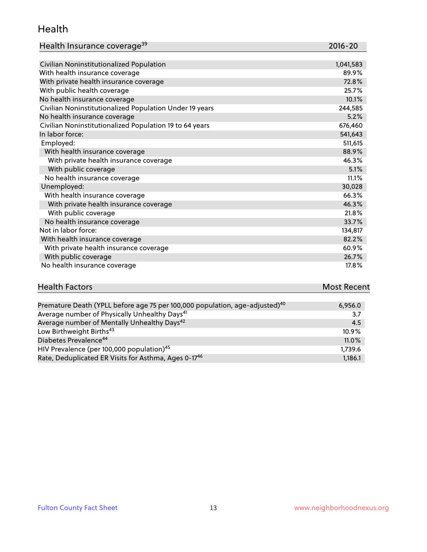#### Health

| Health Insurance coverage <sup>39</sup> | 2016-20 |
|-----------------------------------------|---------|
|-----------------------------------------|---------|

| Civilian Noninstitutionalized Population                | 1,041,583 |
|---------------------------------------------------------|-----------|
| With health insurance coverage                          | 89.9%     |
| With private health insurance coverage                  | 72.8%     |
| With public health coverage                             | 25.7%     |
| No health insurance coverage                            | 10.1%     |
| Civilian Noninstitutionalized Population Under 19 years | 244,585   |
| No health insurance coverage                            | 5.2%      |
| Civilian Noninstitutionalized Population 19 to 64 years | 676,460   |
| In labor force:                                         | 541,643   |
| Employed:                                               | 511,615   |
| With health insurance coverage                          | 88.9%     |
| With private health insurance coverage                  | 46.3%     |
| With public coverage                                    | 5.1%      |
| No health insurance coverage                            | 11.1%     |
| Unemployed:                                             | 30,028    |
| With health insurance coverage                          | 66.3%     |
| With private health insurance coverage                  | 46.3%     |
| With public coverage                                    | 21.8%     |
| No health insurance coverage                            | 33.7%     |
| Not in labor force:                                     | 134,817   |
| With health insurance coverage                          | 82.2%     |
| With private health insurance coverage                  | 60.9%     |
| With public coverage                                    | 26.7%     |
| No health insurance coverage                            | 17.8%     |

| <b>Health Factors</b> |      | <b>Most Recent</b> |
|-----------------------|------|--------------------|
|                       | $ -$ |                    |

| Premature Death (YPLL before age 75 per 100,000 population, age-adjusted) <sup>40</sup> | 6,956.0 |
|-----------------------------------------------------------------------------------------|---------|
| Average number of Physically Unhealthy Days <sup>41</sup>                               | 3.7     |
| Average number of Mentally Unhealthy Days <sup>42</sup>                                 | 4.5     |
| Low Birthweight Births <sup>43</sup>                                                    | 10.9%   |
| Diabetes Prevalence <sup>44</sup>                                                       | 11.0%   |
| HIV Prevalence (per 100,000 population) <sup>45</sup>                                   | 1.739.6 |
| Rate, Deduplicated ER Visits for Asthma, Ages 0-1746                                    | 1,186.1 |